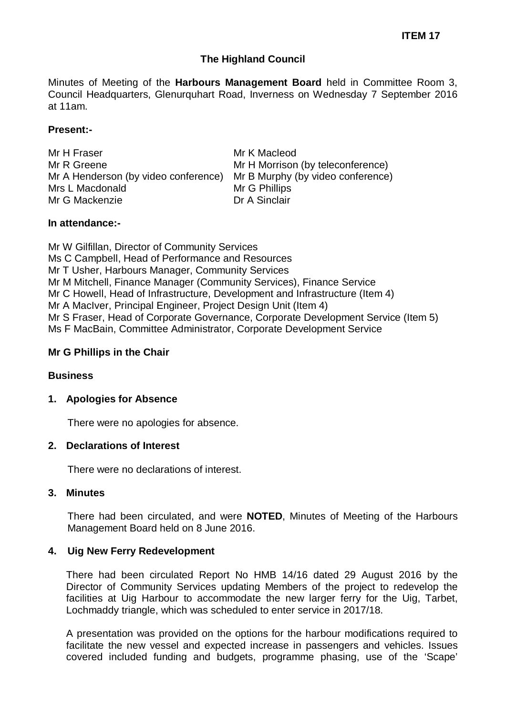# **The Highland Council**

Minutes of Meeting of the **Harbours Management Board** held in Committee Room 3, Council Headquarters, Glenurquhart Road, Inverness on Wednesday 7 September 2016 at 11am.

## **Present:-**

Mr H Fraser Mr R Greene Mr A Henderson (by video conference) Mr B Murphy (by video conference) Mrs L Macdonald Mr G Mackenzie

Mr K Macleod Mr H Morrison (by teleconference) Mr G Phillips Dr A Sinclair

#### **In attendance:-**

Mr W Gilfillan, Director of Community Services Ms C Campbell, Head of Performance and Resources Mr T Usher, Harbours Manager, Community Services Mr M Mitchell, Finance Manager (Community Services), Finance Service Mr C Howell, Head of Infrastructure, Development and Infrastructure (Item 4) Mr A MacIver, Principal Engineer, Project Design Unit (Item 4) Mr S Fraser, Head of Corporate Governance, Corporate Development Service (Item 5) Ms F MacBain, Committee Administrator, Corporate Development Service

#### **Mr G Phillips in the Chair**

## **Business**

#### **1. Apologies for Absence**

There were no apologies for absence.

#### **2. Declarations of Interest**

There were no declarations of interest.

#### **3. Minutes**

There had been circulated, and were **NOTED**, Minutes of Meeting of the Harbours Management Board held on 8 June 2016.

## **4. Uig New Ferry Redevelopment**

There had been circulated Report No HMB 14/16 dated 29 August 2016 by the Director of Community Services updating Members of the project to redevelop the facilities at Uig Harbour to accommodate the new larger ferry for the Uig, Tarbet, Lochmaddy triangle, which was scheduled to enter service in 2017/18.

A presentation was provided on the options for the harbour modifications required to facilitate the new vessel and expected increase in passengers and vehicles. Issues covered included funding and budgets, programme phasing, use of the 'Scape'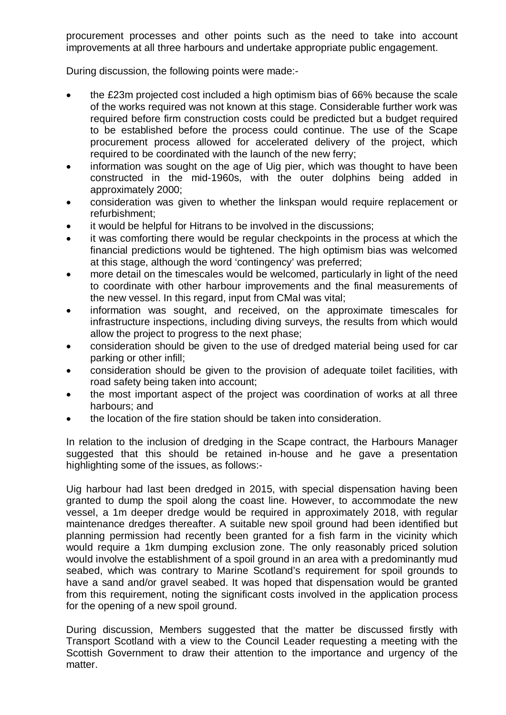procurement processes and other points such as the need to take into account improvements at all three harbours and undertake appropriate public engagement.

During discussion, the following points were made:-

- the £23m projected cost included a high optimism bias of 66% because the scale of the works required was not known at this stage. Considerable further work was required before firm construction costs could be predicted but a budget required to be established before the process could continue. The use of the Scape procurement process allowed for accelerated delivery of the project, which required to be coordinated with the launch of the new ferry;
- information was sought on the age of Uig pier, which was thought to have been constructed in the mid-1960s, with the outer dolphins being added in approximately 2000;
- consideration was given to whether the linkspan would require replacement or refurbishment;
- it would be helpful for Hitrans to be involved in the discussions;
- it was comforting there would be regular checkpoints in the process at which the financial predictions would be tightened. The high optimism bias was welcomed at this stage, although the word 'contingency' was preferred;
- more detail on the timescales would be welcomed, particularly in light of the need to coordinate with other harbour improvements and the final measurements of the new vessel. In this regard, input from CMal was vital;
- information was sought, and received, on the approximate timescales for infrastructure inspections, including diving surveys, the results from which would allow the project to progress to the next phase;
- consideration should be given to the use of dredged material being used for car parking or other infill;
- consideration should be given to the provision of adequate toilet facilities, with road safety being taken into account;
- the most important aspect of the project was coordination of works at all three harbours; and
- the location of the fire station should be taken into consideration.

In relation to the inclusion of dredging in the Scape contract, the Harbours Manager suggested that this should be retained in-house and he gave a presentation highlighting some of the issues, as follows:-

Uig harbour had last been dredged in 2015, with special dispensation having been granted to dump the spoil along the coast line. However, to accommodate the new vessel, a 1m deeper dredge would be required in approximately 2018, with regular maintenance dredges thereafter. A suitable new spoil ground had been identified but planning permission had recently been granted for a fish farm in the vicinity which would require a 1km dumping exclusion zone. The only reasonably priced solution would involve the establishment of a spoil ground in an area with a predominantly mud seabed, which was contrary to Marine Scotland's requirement for spoil grounds to have a sand and/or gravel seabed. It was hoped that dispensation would be granted from this requirement, noting the significant costs involved in the application process for the opening of a new spoil ground.

During discussion, Members suggested that the matter be discussed firstly with Transport Scotland with a view to the Council Leader requesting a meeting with the Scottish Government to draw their attention to the importance and urgency of the matter.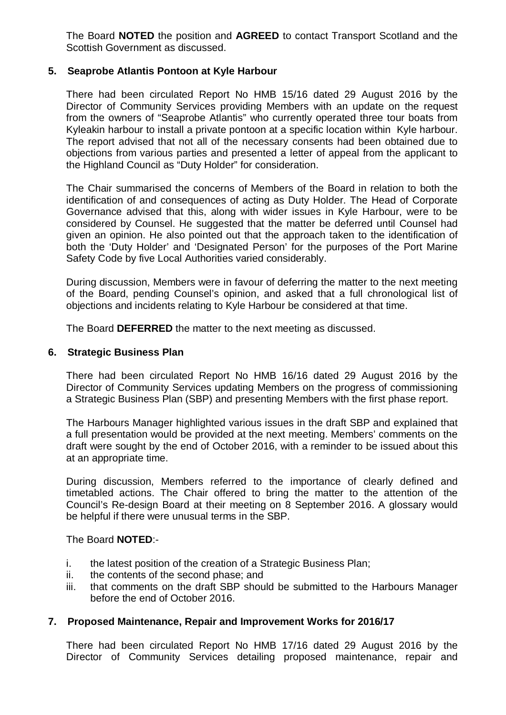The Board **NOTED** the position and **AGREED** to contact Transport Scotland and the Scottish Government as discussed.

# **5. Seaprobe Atlantis Pontoon at Kyle Harbour**

There had been circulated Report No HMB 15/16 dated 29 August 2016 by the Director of Community Services providing Members with an update on the request from the owners of "Seaprobe Atlantis" who currently operated three tour boats from Kyleakin harbour to install a private pontoon at a specific location within Kyle harbour. The report advised that not all of the necessary consents had been obtained due to objections from various parties and presented a letter of appeal from the applicant to the Highland Council as "Duty Holder" for consideration.

The Chair summarised the concerns of Members of the Board in relation to both the identification of and consequences of acting as Duty Holder. The Head of Corporate Governance advised that this, along with wider issues in Kyle Harbour, were to be considered by Counsel. He suggested that the matter be deferred until Counsel had given an opinion. He also pointed out that the approach taken to the identification of both the 'Duty Holder' and 'Designated Person' for the purposes of the Port Marine Safety Code by five Local Authorities varied considerably.

During discussion, Members were in favour of deferring the matter to the next meeting of the Board, pending Counsel's opinion, and asked that a full chronological list of objections and incidents relating to Kyle Harbour be considered at that time.

The Board **DEFERRED** the matter to the next meeting as discussed.

#### **6. Strategic Business Plan**

There had been circulated Report No HMB 16/16 dated 29 August 2016 by the Director of Community Services updating Members on the progress of commissioning a Strategic Business Plan (SBP) and presenting Members with the first phase report.

The Harbours Manager highlighted various issues in the draft SBP and explained that a full presentation would be provided at the next meeting. Members' comments on the draft were sought by the end of October 2016, with a reminder to be issued about this at an appropriate time.

During discussion, Members referred to the importance of clearly defined and timetabled actions. The Chair offered to bring the matter to the attention of the Council's Re-design Board at their meeting on 8 September 2016. A glossary would be helpful if there were unusual terms in the SBP.

The Board **NOTED**:-

- i. the latest position of the creation of a Strategic Business Plan;
- ii. the contents of the second phase; and
- iii. that comments on the draft SBP should be submitted to the Harbours Manager before the end of October 2016.

## **7. Proposed Maintenance, Repair and Improvement Works for 2016/17**

There had been circulated Report No HMB 17/16 dated 29 August 2016 by the Director of Community Services detailing proposed maintenance, repair and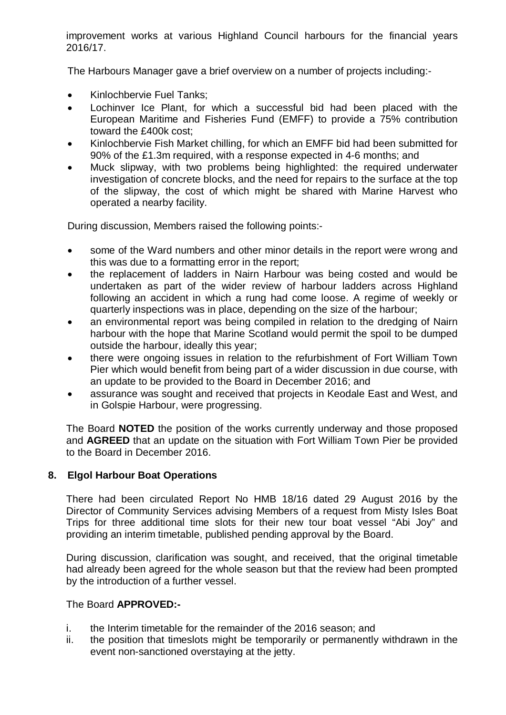improvement works at various Highland Council harbours for the financial years 2016/17.

The Harbours Manager gave a brief overview on a number of projects including:-

- Kinlochbervie Fuel Tanks;
- Lochinver Ice Plant, for which a successful bid had been placed with the European Maritime and Fisheries Fund (EMFF) to provide a 75% contribution toward the £400k cost;
- Kinlochbervie Fish Market chilling, for which an EMFF bid had been submitted for 90% of the £1.3m required, with a response expected in 4-6 months; and
- Muck slipway, with two problems being highlighted: the required underwater investigation of concrete blocks, and the need for repairs to the surface at the top of the slipway, the cost of which might be shared with Marine Harvest who operated a nearby facility.

During discussion, Members raised the following points:-

- some of the Ward numbers and other minor details in the report were wrong and this was due to a formatting error in the report;
- the replacement of ladders in Nairn Harbour was being costed and would be undertaken as part of the wider review of harbour ladders across Highland following an accident in which a rung had come loose. A regime of weekly or quarterly inspections was in place, depending on the size of the harbour;
- an environmental report was being compiled in relation to the dredging of Nairn harbour with the hope that Marine Scotland would permit the spoil to be dumped outside the harbour, ideally this year;
- there were ongoing issues in relation to the refurbishment of Fort William Town Pier which would benefit from being part of a wider discussion in due course, with an update to be provided to the Board in December 2016; and
- assurance was sought and received that projects in Keodale East and West, and in Golspie Harbour, were progressing.

The Board **NOTED** the position of the works currently underway and those proposed and **AGREED** that an update on the situation with Fort William Town Pier be provided to the Board in December 2016.

# **8. Elgol Harbour Boat Operations**

There had been circulated Report No HMB 18/16 dated 29 August 2016 by the Director of Community Services advising Members of a request from Misty Isles Boat Trips for three additional time slots for their new tour boat vessel "Abi Joy" and providing an interim timetable, published pending approval by the Board.

During discussion, clarification was sought, and received, that the original timetable had already been agreed for the whole season but that the review had been prompted by the introduction of a further vessel.

## The Board **APPROVED:-**

- i. the Interim timetable for the remainder of the 2016 season; and
- ii. the position that timeslots might be temporarily or permanently withdrawn in the event non-sanctioned overstaying at the jetty.